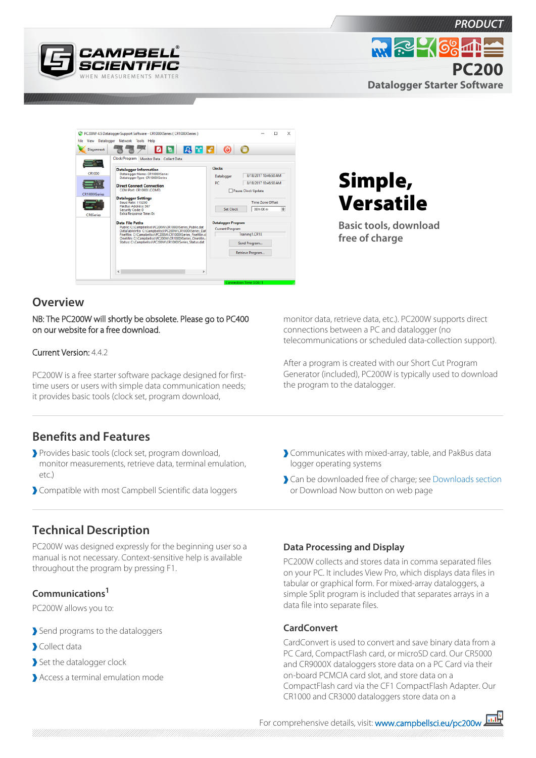



# Simple, Versatile

*PRODUCT*

**PC200**

**Datalogger Starter Software**

**R. R. L. C. C.** 

**Basic tools, download free of charge**

## **Overview**

NB: The PC200W will shortly be obsolete. Please go to PC400 on our website for a free download.

#### Current Version: 4.4.2

PC200W is a free starter software package designed for firsttime users or users with simple data communication needs; it provides basic tools (clock set, program download,

# **Benefits and Features**

- Provides basic tools (clock set, program download, monitor measurements, retrieve data, terminal emulation, etc.)
- Compatible with most Campbell Scientific data loggers

# **Technical Description**

PC200W was designed expressly for the beginning user so a manual is not necessary. Context-sensitive help is available throughout the program by pressing F1.

## **Communications<sup>1</sup>**

PC200W allows you to:

- Send programs to the dataloggers
- Collect data
- Set the datalogger clock
- Access a terminal emulation mode

monitor data, retrieve data, etc.). PC200W supports direct connections between a PC and datalogger (no telecommunications or scheduled data-collection support).

After a program is created with our Short Cut Program Generator (included), PC200W is typically used to download the program to the datalogger.

- Communicates with mixed-array, table, and PakBus data logger operating systems
- Can be downloaded free of charge; see [Downloads section](http://www.campbellsci.eu/pc200w#downloads_) or Download Now button on web page

## **Data Processing and Display**

PC200W collects and stores data in comma separated files on your PC. It includes View Pro, which displays data files in tabular or graphical form. For mixed-array dataloggers, a simple Split program is included that separates arrays in a data file into separate files.

## **CardConvert**

CardConvert is used to convert and save binary data from a PC Card, CompactFlash card, or microSD card. Our CR5000 and CR9000X dataloggers store data on a PC Card via their on-board PCMCIA card slot, and store data on a CompactFlash card via the CF1 CompactFlash Adapter. Our CR1000 and CR3000 dataloggers store data on a

For comprehensive details, visit: [www.campbellsci.eu/pc200w](https://www.campbellsci.eu/pc200w)